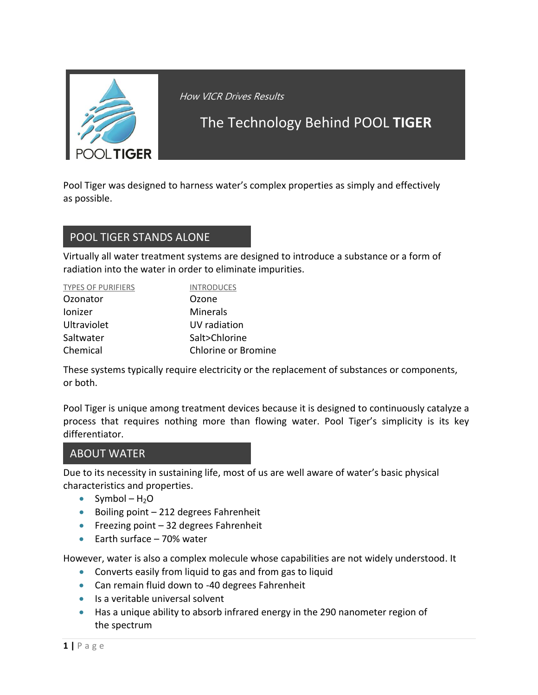

How VICR Drives Results

# The Technology Behind POOL **TIGER**

Pool Tiger was designed to harness water's complex properties as simply and effectively as possible.

#### POOL TIGER STANDS ALONE

Virtually all water treatment systems are designed to introduce a substance or a form of radiation into the water in order to eliminate impurities.

| <b>TYPES OF PURIFIERS</b> | <b>INTRODUCES</b>   |
|---------------------------|---------------------|
| Ozonator                  | Ozone               |
| Ionizer                   | Minerals            |
| <b>Ultraviolet</b>        | UV radiation        |
| Saltwater                 | Salt>Chlorine       |
| Chemical                  | Chlorine or Bromine |

These systems typically require electricity or the replacement of substances or components, or both.

Pool Tiger is unique among treatment devices because it is designed to continuously catalyze a process that requires nothing more than flowing water. Pool Tiger's simplicity is its key differentiator.

#### ABOUT WATER

Due to its necessity in sustaining life, most of us are well aware of water's basic physical characteristics and properties.

- $\bullet$  Symbol H<sub>2</sub>O
- Boiling point  $-212$  degrees Fahrenheit
- Freezing point  $-32$  degrees Fahrenheit
- $\bullet$  Earth surface 70% water

However, water is also a complex molecule whose capabilities are not widely understood. It

- Converts easily from liquid to gas and from gas to liquid
- Can remain fluid down to -40 degrees Fahrenheit
- Is a veritable universal solvent
- Has a unique ability to absorb infrared energy in the 290 nanometer region of the spectrum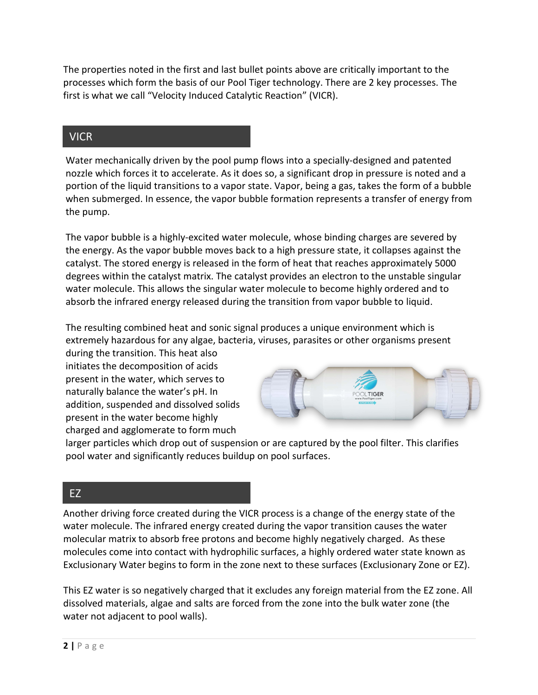The properties noted in the first and last bullet points above are critically important to the processes which form the basis of our Pool Tiger technology. There are 2 key processes. The first is what we call "Velocity Induced Catalytic Reaction" (VICR).

### VICR

Water mechanically driven by the pool pump flows into a specially-designed and patented nozzle which forces it to accelerate. As it does so, a significant drop in pressure is noted and a portion of the liquid transitions to a vapor state. Vapor, being a gas, takes the form of a bubble when submerged. In essence, the vapor bubble formation represents a transfer of energy from the pump.

The vapor bubble is a highly-excited water molecule, whose binding charges are severed by the energy. As the vapor bubble moves back to a high pressure state, it collapses against the catalyst. The stored energy is released in the form of heat that reaches approximately 5000 degrees within the catalyst matrix. The catalyst provides an electron to the unstable singular water molecule. This allows the singular water molecule to become highly ordered and to absorb the infrared energy released during the transition from vapor bubble to liquid.

The resulting combined heat and sonic signal produces a unique environment which is extremely hazardous for any algae, bacteria, viruses, parasites or other organisms present

during the transition. This heat also initiates the decomposition of acids present in the water, which serves to naturally balance the water's pH. In addition, suspended and dissolved solids present in the water become highly charged and agglomerate to form much



larger particles which drop out of suspension or are captured by the pool filter. This clarifies pool water and significantly reduces buildup on pool surfaces.

### EZ

Another driving force created during the VICR process is a change of the energy state of the water molecule. The infrared energy created during the vapor transition causes the water molecular matrix to absorb free protons and become highly negatively charged. As these molecules come into contact with hydrophilic surfaces, a highly ordered water state known as Exclusionary Water begins to form in the zone next to these surfaces (Exclusionary Zone or EZ).

This EZ water is so negatively charged that it excludes any foreign material from the EZ zone. All dissolved materials, algae and salts are forced from the zone into the bulk water zone (the water not adjacent to pool walls).